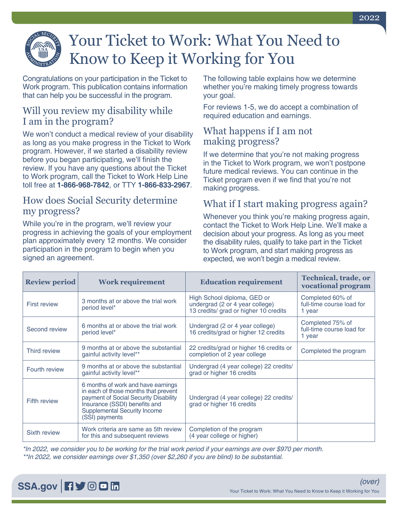

# Your Ticket to Work: What You Need to Know to Keep it Working for You

Congratulations on your participation in the Ticket to Work program. This publication contains information that can help you be successful in the program.

## Will you review my disability while I am in the program?

We won't conduct a medical review of your disability as long as you make progress in the Ticket to Work program. However, if we started a disability review before you began participating, we'll finish the review. If you have any questions about the Ticket to Work program, call the Ticket to Work Help Line toll free at **1-866-968-7842**, or TTY **1-866-833-2967**.

#### How does Social Security determine my progress?

While you're in the program, we'll review your progress in achieving the goals of your employment plan approximately every 12 months. We consider participation in the program to begin when you signed an agreement.

The following table explains how we determine whether you're making timely progress towards your goal.

For reviews 1-5, we do accept a combination of required education and earnings.

#### What happens if I am not making progress?

If we determine that you're not making progress in the Ticket to Work program, we won't postpone future medical reviews. You can continue in the Ticket program even if we find that you're not making progress.

## What if I start making progress again?

Whenever you think you're making progress again, contact the Ticket to Work Help Line. We'll make a decision about your progress. As long as you meet the disability rules, qualify to take part in the Ticket to Work program, and start making progress as expected, we won't begin a medical review.

| <b>Review period</b> | <b>Work requirement</b>                                                                                                                                                                                       | <b>Education requirement</b>                                                                            | <b>Technical, trade, or</b><br>vocational program       |
|----------------------|---------------------------------------------------------------------------------------------------------------------------------------------------------------------------------------------------------------|---------------------------------------------------------------------------------------------------------|---------------------------------------------------------|
| <b>First review</b>  | 3 months at or above the trial work<br>period level*                                                                                                                                                          | High School diploma, GED or<br>undergrad (2 or 4 year college)<br>13 credits/ grad or higher 10 credits | Completed 60% of<br>full-time course load for<br>1 year |
| Second review        | 6 months at or above the trial work<br>period level*                                                                                                                                                          | Undergrad (2 or 4 year college)<br>16 credits/grad or higher 12 credits                                 | Completed 75% of<br>full-time course load for<br>1 year |
| Third review         | 9 months at or above the substantial<br>gainful activity level**                                                                                                                                              | 22 credits/grad or higher 16 credits or<br>completion of 2 year college                                 | Completed the program                                   |
| Fourth review        | 9 months at or above the substantial<br>gainful activity level**                                                                                                                                              | Undergrad (4 year college) 22 credits/<br>grad or higher 16 credits                                     |                                                         |
| <b>Fifth review</b>  | 6 months of work and have earnings<br>in each of those months that prevent<br>payment of Social Security Disability<br>Insurance (SSDI) benefits and<br><b>Supplemental Security Income</b><br>(SSI) payments | Undergrad (4 year college) 22 credits/<br>grad or higher 16 credits                                     |                                                         |
| Sixth review         | Work criteria are same as 5th review<br>for this and subsequent reviews                                                                                                                                       | Completion of the program<br>(4 year college or higher)                                                 |                                                         |

*\*In 2022, we consider you to be working for the trial work period if your earnings are over \$970 per month. \*\*In 2022, we consider earnings over \$1,350 (over \$2,260 if you are blind) to be substantial.*